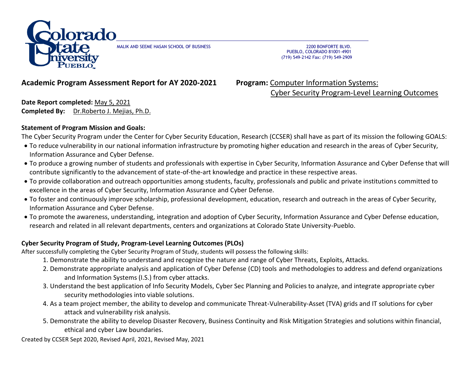

MALIK AND SEEME HASAN SCHOOL OF BUSINESS 2200 BONFORTE BLVD.

 PUEBLO, COLORADO 81001-4901 (719) 549-2142 Fax: (719) 549-2909

## **Academic Program Assessment Report for AY 2020-2021 Program:** Computer Information Systems:

Cyber Security Program-Level Learning Outcomes

**Date Report completed:** May 5, 2021 **Completed By:** Dr.Roberto J. Mejias, Ph.D.

### **Statement of Program Mission and Goals:**

The Cyber Security Program under the Center for Cyber Security Education, Research (CCSER) shall have as part of its mission the following GOALS:

- To reduce vulnerability in our national information infrastructure by promoting higher education and research in the areas of Cyber Security, Information Assurance and Cyber Defense.
- To produce a growing number of students and professionals with expertise in Cyber Security, Information Assurance and Cyber Defense that will contribute significantly to the advancement of state-of-the-art knowledge and practice in these respective areas.
- To provide collaboration and outreach opportunities among students, faculty, professionals and public and private institutions committed to excellence in the areas of Cyber Security, Information Assurance and Cyber Defense.
- To foster and continuously improve scholarship, professional development, education, research and outreach in the areas of Cyber Security, Information Assurance and Cyber Defense.
- To promote the awareness, understanding, integration and adoption of Cyber Security, Information Assurance and Cyber Defense education, research and related in all relevant departments, centers and organizations at Colorado State University-Pueblo.

### **Cyber Security Program of Study, Program-Level Learning Outcomes (PLOs)**

After successfully completing the Cyber Security Program of Study, students will possess the following skills:

- 1. Demonstrate the ability to understand and recognize the nature and range of Cyber Threats, Exploits, Attacks.
- 2. Demonstrate appropriate analysis and application of Cyber Defense (CD) tools and methodologies to address and defend organizations and Information Systems (I.S.) from cyber attacks.
- 3. Understand the best application of Info Security Models, Cyber Sec Planning and Policies to analyze, and integrate appropriate cyber security methodologies into viable solutions.
- 4. As a team project member, the ability to develop and communicate Threat-Vulnerability-Asset (TVA) grids and IT solutions for cyber attack and vulnerability risk analysis.
- 5. Demonstrate the ability to develop Disaster Recovery, Business Continuity and Risk Mitigation Strategies and solutions within financial, ethical and cyber Law boundaries.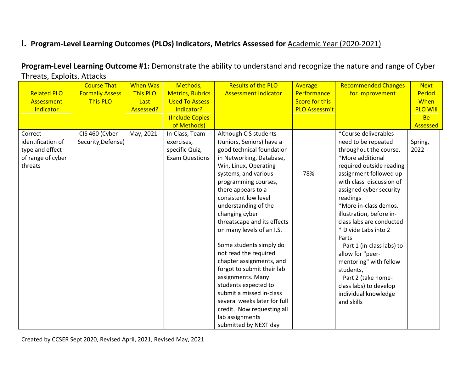## **I. Program-Level Learning Outcomes (PLOs) Indicators, Metrics Assessed for** Academic Year (2020-2021)

**Program-Level Learning Outcome #1:** Demonstrate the ability to understand and recognize the nature and range of Cyber Threats, Exploits, Attacks

|                    | <b>Course That</b>     | <b>When Was</b> | Methods,                | <b>Results of the PLO</b>    | <b>Average</b>        | <b>Recommended Changes</b> | <b>Next</b>     |
|--------------------|------------------------|-----------------|-------------------------|------------------------------|-----------------------|----------------------------|-----------------|
| <b>Related PLO</b> | <b>Formally Assess</b> | This PLO        | <b>Metrics, Rubrics</b> | <b>Assessment Indicator</b>  | Performance           | for Improvement            | Period          |
| Assessment         | <b>This PLO</b>        | Last            | <b>Used To Assess</b>   |                              | <b>Score for this</b> |                            | When            |
| Indicator          |                        | Assessed?       | Indicator?              |                              | PLO Assessm't         |                            | <b>PLO Will</b> |
|                    |                        |                 | (Include Copies         |                              |                       |                            | <b>Be</b>       |
|                    |                        |                 | of Methods)             |                              |                       |                            | Assessed        |
| Correct            | CIS 460 (Cyber         | May, 2021       | In-Class, Team          | Although CIS students        |                       | *Course deliverables       |                 |
| identification of  | Security, Defense)     |                 | exercises,              | (Juniors, Seniors) have a    |                       | need to be repeated        | Spring,         |
| type and effect    |                        |                 | specific Quiz,          | good technical foundation    |                       | throughout the course.     | 2022            |
| of range of cyber  |                        |                 | <b>Exam Questions</b>   | in Networking, Database,     |                       | *More additional           |                 |
| threats            |                        |                 |                         | Win, Linux, Operating        |                       | required outside reading   |                 |
|                    |                        |                 |                         | systems, and various         | 78%                   | assignment followed up     |                 |
|                    |                        |                 |                         | programming courses,         |                       | with class discussion of   |                 |
|                    |                        |                 |                         | there appears to a           |                       | assigned cyber security    |                 |
|                    |                        |                 |                         | consistent low level         |                       | readings                   |                 |
|                    |                        |                 |                         | understanding of the         |                       | *More in-class demos.      |                 |
|                    |                        |                 |                         | changing cyber               |                       | illustration, before in-   |                 |
|                    |                        |                 |                         | threatscape and its effects  |                       | class labs are conducted   |                 |
|                    |                        |                 |                         | on many levels of an I.S.    |                       | * Divide Labs into 2       |                 |
|                    |                        |                 |                         |                              |                       | Parts                      |                 |
|                    |                        |                 |                         | Some students simply do      |                       | Part 1 (in-class labs) to  |                 |
|                    |                        |                 |                         | not read the required        |                       | allow for "peer-           |                 |
|                    |                        |                 |                         | chapter assignments, and     |                       | mentoring" with fellow     |                 |
|                    |                        |                 |                         | forgot to submit their lab   |                       | students,                  |                 |
|                    |                        |                 |                         | assignments. Many            |                       | Part 2 (take home-         |                 |
|                    |                        |                 |                         | students expected to         |                       | class labs) to develop     |                 |
|                    |                        |                 |                         | submit a missed in-class     |                       | individual knowledge       |                 |
|                    |                        |                 |                         | several weeks later for full |                       | and skills                 |                 |
|                    |                        |                 |                         | credit. Now requesting all   |                       |                            |                 |
|                    |                        |                 |                         | lab assignments              |                       |                            |                 |
|                    |                        |                 |                         | submitted by NEXT day        |                       |                            |                 |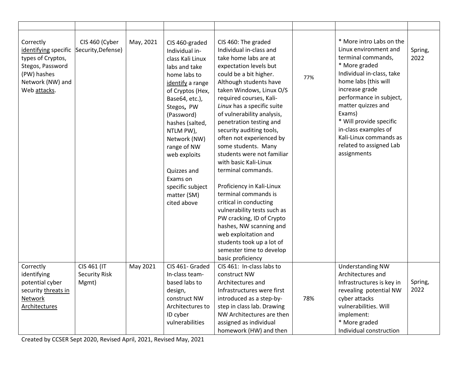| Correctly<br>identifying specific Security, Defense)<br>types of Cryptos,<br>Stegos, Password<br>(PW) hashes<br>Network (NW) and<br>Web attacks. | CIS 460 (Cyber                               | May, 2021 | CIS 460-graded<br>Individual in-<br>class Kali Linux<br>labs and take<br>home labs to<br>identify a range<br>of Cryptos (Hex,<br>Base64, etc.),<br>Stegos, PW<br>(Password)<br>hashes (salted,<br>NTLM PW),<br>Network (NW)<br>range of NW<br>web exploits<br>Quizzes and<br>Exams on<br>specific subject<br>matter (SM)<br>cited above | CIS 460: The graded<br>Individual in-class and<br>take home labs are at<br>expectation levels but<br>could be a bit higher.<br>Although students have<br>taken Windows, Linux O/S<br>required courses, Kali-<br>Linux has a specific suite<br>of vulnerability analysis,<br>penetration testing and<br>security auditing tools,<br>often not experienced by<br>some students. Many<br>students were not familiar<br>with basic Kali-Linux<br>terminal commands.<br>Proficiency in Kali-Linux<br>terminal commands is<br>critical in conducting<br>vulnerability tests such as<br>PW cracking, ID of Crypto<br>hashes, NW scanning and<br>web exploitation and<br>students took up a lot of<br>semester time to develop<br>basic proficiency | 77% | * More intro Labs on the<br>Linux environment and<br>terminal commands,<br>* More graded<br>Individual in-class, take<br>home labs (this will<br>increase grade<br>performance in subject,<br>matter quizzes and<br>Exams)<br>* Will provide specific<br>in-class examples of<br>Kali-Linux commands as<br>related to assigned Lab<br>assignments | Spring,<br>2022 |
|--------------------------------------------------------------------------------------------------------------------------------------------------|----------------------------------------------|-----------|-----------------------------------------------------------------------------------------------------------------------------------------------------------------------------------------------------------------------------------------------------------------------------------------------------------------------------------------|---------------------------------------------------------------------------------------------------------------------------------------------------------------------------------------------------------------------------------------------------------------------------------------------------------------------------------------------------------------------------------------------------------------------------------------------------------------------------------------------------------------------------------------------------------------------------------------------------------------------------------------------------------------------------------------------------------------------------------------------|-----|---------------------------------------------------------------------------------------------------------------------------------------------------------------------------------------------------------------------------------------------------------------------------------------------------------------------------------------------------|-----------------|
| Correctly<br>identifying<br>potential cyber<br>security threats in<br><b>Network</b><br><b>Architectures</b>                                     | CIS 461 (IT<br><b>Security Risk</b><br>Mgmt) | May 2021  | CIS 461- Graded<br>In-class team-<br>based labs to<br>design,<br>construct NW<br>Architectures to<br>ID cyber<br>vulnerabilities                                                                                                                                                                                                        | CIS 461: In-class labs to<br>construct NW<br>Architectures and<br>Infrastructures were first<br>introduced as a step-by-<br>step in class lab. Drawing<br>NW Architectures are then<br>assigned as individual<br>homework (HW) and then                                                                                                                                                                                                                                                                                                                                                                                                                                                                                                     | 78% | <b>Understanding NW</b><br>Architectures and<br>Infrastructures is key in<br>revealing potential NW<br>cyber attacks<br>vulnerabilities. Will<br>implement:<br>* More graded<br>Individual construction                                                                                                                                           | Spring,<br>2022 |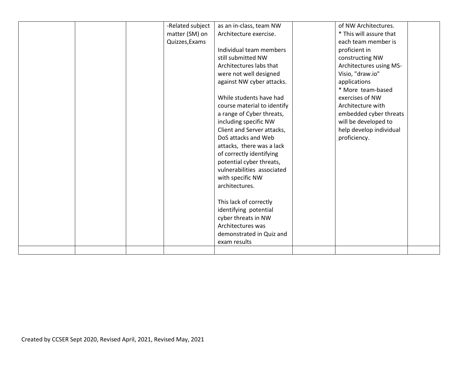|  | -Related subject | as an in-class, team NW     | of NW Architectures.    |  |
|--|------------------|-----------------------------|-------------------------|--|
|  | matter (SM) on   | Architecture exercise.      | * This will assure that |  |
|  | Quizzes, Exams   |                             | each team member is     |  |
|  |                  | Individual team members     | proficient in           |  |
|  |                  | still submitted NW          | constructing NW         |  |
|  |                  | Architectures labs that     | Architectures using MS- |  |
|  |                  | were not well designed      | Visio, "draw.io"        |  |
|  |                  | against NW cyber attacks.   | applications            |  |
|  |                  |                             | * More team-based       |  |
|  |                  | While students have had     | exercises of NW         |  |
|  |                  | course material to identify | Architecture with       |  |
|  |                  | a range of Cyber threats,   | embedded cyber threats  |  |
|  |                  | including specific NW       | will be developed to    |  |
|  |                  | Client and Server attacks,  | help develop individual |  |
|  |                  | DoS attacks and Web         | proficiency.            |  |
|  |                  | attacks, there was a lack   |                         |  |
|  |                  | of correctly identifying    |                         |  |
|  |                  | potential cyber threats,    |                         |  |
|  |                  | vulnerabilities associated  |                         |  |
|  |                  | with specific NW            |                         |  |
|  |                  | architectures.              |                         |  |
|  |                  |                             |                         |  |
|  |                  | This lack of correctly      |                         |  |
|  |                  | identifying potential       |                         |  |
|  |                  | cyber threats in NW         |                         |  |
|  |                  | Architectures was           |                         |  |
|  |                  | demonstrated in Quiz and    |                         |  |
|  |                  | exam results                |                         |  |
|  |                  |                             |                         |  |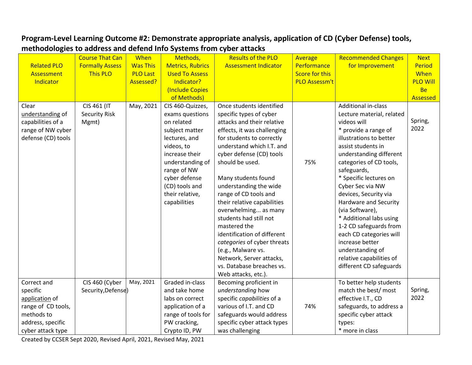## **Program-Level Learning Outcome #2: Demonstrate appropriate analysis, application of CD (Cyber Defense) tools, methodologies to address and defend Info Systems from cyber attacks**

|                    | <b>Course That Can</b> | When            | Methods,                | <b>Results of the PLO</b>   | Average               | <b>Recommended Changes</b> | <b>Next</b>     |
|--------------------|------------------------|-----------------|-------------------------|-----------------------------|-----------------------|----------------------------|-----------------|
| <b>Related PLO</b> | <b>Formally Assess</b> | <b>Was This</b> | <b>Metrics, Rubrics</b> | <b>Assessment Indicator</b> | Performance           | for Improvement            | Period          |
| Assessment         | <b>This PLO</b>        | <b>PLO Last</b> | <b>Used To Assess</b>   |                             | <b>Score for this</b> |                            | When            |
| Indicator          |                        | Assessed?       | Indicator?              |                             | <b>PLO Assessm't</b>  |                            | <b>PLO Will</b> |
|                    |                        |                 | Include Copies          |                             |                       |                            | <b>Be</b>       |
|                    |                        |                 | of Methods)             |                             |                       |                            | Assessed        |
| Clear              | CIS 461 (IT            | May, 2021       | CIS 460-Quizzes,        | Once students identified    |                       | Additional in-class        |                 |
| understanding of   | <b>Security Risk</b>   |                 | exams questions         | specific types of cyber     |                       | Lecture material, related  |                 |
| capabilities of a  | Mgmt)                  |                 | on related              | attacks and their relative  |                       | videos will                | Spring,         |
| range of NW cyber  |                        |                 | subject matter          | effects, it was challenging |                       | * provide a range of       | 2022            |
| defense (CD) tools |                        |                 | lectures, and           | for students to correctly   |                       | illustrations to better    |                 |
|                    |                        |                 | videos, to              | understand which I.T. and   |                       | assist students in         |                 |
|                    |                        |                 | increase their          | cyber defense (CD) tools    |                       | understanding different    |                 |
|                    |                        |                 | understanding of        | should be used.             | 75%                   | categories of CD tools,    |                 |
|                    |                        |                 | range of NW             |                             |                       | safeguards,                |                 |
|                    |                        |                 | cyber defense           | Many students found         |                       | * Specific lectures on     |                 |
|                    |                        |                 | (CD) tools and          | understanding the wide      |                       | Cyber Sec via NW           |                 |
|                    |                        |                 | their relative,         | range of CD tools and       |                       | devices, Security via      |                 |
|                    |                        |                 | capabilities            | their relative capabilities |                       | Hardware and Security      |                 |
|                    |                        |                 |                         | overwhelming as many        |                       | (via Software),            |                 |
|                    |                        |                 |                         | students had still not      |                       | * Additional labs using    |                 |
|                    |                        |                 |                         | mastered the                |                       | 1-2 CD safeguards from     |                 |
|                    |                        |                 |                         | identification of different |                       | each CD categories will    |                 |
|                    |                        |                 |                         | categories of cyber threats |                       | increase better            |                 |
|                    |                        |                 |                         | (e.g., Malware vs.          |                       | understanding of           |                 |
|                    |                        |                 |                         | Network, Server attacks,    |                       | relative capabilities of   |                 |
|                    |                        |                 |                         | vs. Database breaches vs.   |                       | different CD safeguards    |                 |
|                    |                        |                 |                         | Web attacks, etc.).         |                       |                            |                 |
| Correct and        | CIS 460 (Cyber         | May, 2021       | Graded in-class         | Becoming proficient in      |                       | To better help students    |                 |
| specific           | Security, Defense)     |                 | and take home           | understanding how           |                       | match the best/ most       | Spring,         |
| application of     |                        |                 | labs on correct         | specific capabilities of a  |                       | effective I.T., CD         | 2022            |
| range of CD tools, |                        |                 | application of a        | various of I.T. and CD      | 74%                   | safeguards, to address a   |                 |
| methods to         |                        |                 | range of tools for      | safeguards would address    |                       | specific cyber attack      |                 |
| address, specific  |                        |                 | PW cracking,            | specific cyber attack types |                       | types:                     |                 |
| cyber attack type  |                        |                 | Crypto ID, PW           | was challenging             |                       | * more in class            |                 |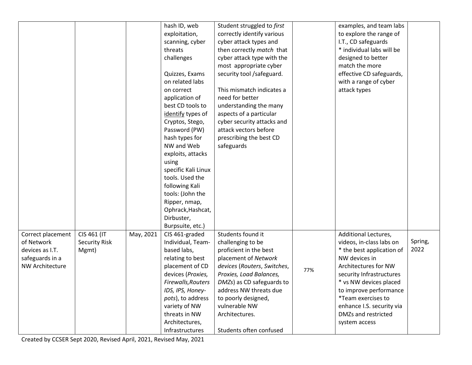|                                               | hash ID, web                    | Student struggled to first  |     | examples, and team labs   |         |
|-----------------------------------------------|---------------------------------|-----------------------------|-----|---------------------------|---------|
|                                               | exploitation,                   | correctly identify various  |     | to explore the range of   |         |
|                                               | scanning, cyber                 | cyber attack types and      |     | I.T., CD safeguards       |         |
|                                               | threats                         | then correctly match that   |     | * individual labs will be |         |
|                                               | challenges                      | cyber attack type with the  |     | designed to better        |         |
|                                               |                                 | most appropriate cyber      |     | match the more            |         |
|                                               | Quizzes, Exams                  | security tool /safeguard.   |     | effective CD safeguards,  |         |
|                                               | on related labs                 |                             |     | with a range of cyber     |         |
|                                               | on correct                      | This mismatch indicates a   |     | attack types              |         |
|                                               | application of                  | need for better             |     |                           |         |
|                                               | best CD tools to                | understanding the many      |     |                           |         |
|                                               | identify types of               | aspects of a particular     |     |                           |         |
|                                               | Cryptos, Stego,                 | cyber security attacks and  |     |                           |         |
|                                               | Password (PW)                   | attack vectors before       |     |                           |         |
|                                               | hash types for                  | prescribing the best CD     |     |                           |         |
|                                               | NW and Web                      | safeguards                  |     |                           |         |
|                                               | exploits, attacks               |                             |     |                           |         |
|                                               | using                           |                             |     |                           |         |
|                                               | specific Kali Linux             |                             |     |                           |         |
|                                               | tools. Used the                 |                             |     |                           |         |
|                                               | following Kali                  |                             |     |                           |         |
|                                               | tools: (John the                |                             |     |                           |         |
|                                               | Ripper, nmap,                   |                             |     |                           |         |
|                                               | Ophrack, Hashcat,               |                             |     |                           |         |
|                                               | Dirbuster,                      |                             |     |                           |         |
|                                               | Burpsuite, etc.)                |                             |     |                           |         |
| CIS 461 (IT<br>May, 2021<br>Correct placement | CIS 461-graded                  | Students found it           |     | Additional Lectures,      |         |
| of Network<br><b>Security Risk</b>            | Individual, Team-               | challenging to be           |     | videos, in-class labs on  | Spring, |
| devices as I.T.<br>Mgmt)                      | based labs,                     | proficient in the best      |     | * the best application of | 2022    |
| safeguards in a                               | relating to best                | placement of Network        |     | NW devices in             |         |
| <b>NW Architecture</b>                        | placement of CD                 | devices (Routers, Switches, |     | Architectures for NW      |         |
|                                               | devices (Proxies,               | Proxies, Load Balances,     | 77% | security Infrastructures  |         |
|                                               | Firewalls, Routers              | DMZs) as CD safeguards to   |     | * vs NW devices placed    |         |
|                                               | IDS, IPS, Honey-                | address NW threats due      |     | to improve performance    |         |
|                                               | pots), to address               | to poorly designed,         |     | *Team exercises to        |         |
|                                               | variety of NW                   | vulnerable NW               |     | enhance I.S. security via |         |
|                                               |                                 |                             |     |                           |         |
|                                               |                                 |                             |     | DMZs and restricted       |         |
|                                               | threats in NW<br>Architectures, | Architectures.              |     | system access             |         |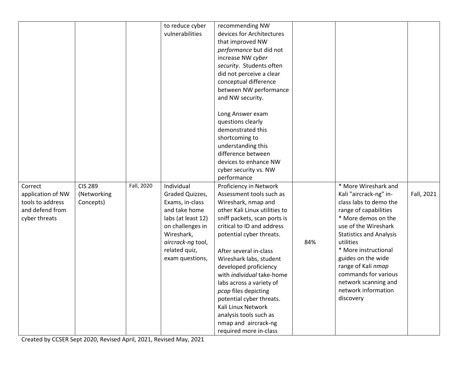|                   |                |            | to reduce cyber    | recommending NW               |     |                                |            |
|-------------------|----------------|------------|--------------------|-------------------------------|-----|--------------------------------|------------|
|                   |                |            | vulnerabilities    | devices for Architectures     |     |                                |            |
|                   |                |            |                    | that improved NW              |     |                                |            |
|                   |                |            |                    | performance but did not       |     |                                |            |
|                   |                |            |                    | increase NW cyber             |     |                                |            |
|                   |                |            |                    | security. Students often      |     |                                |            |
|                   |                |            |                    | did not perceive a clear      |     |                                |            |
|                   |                |            |                    | conceptual difference         |     |                                |            |
|                   |                |            |                    | between NW performance        |     |                                |            |
|                   |                |            |                    | and NW security.              |     |                                |            |
|                   |                |            |                    |                               |     |                                |            |
|                   |                |            |                    | Long Answer exam              |     |                                |            |
|                   |                |            |                    | questions clearly             |     |                                |            |
|                   |                |            |                    | demonstrated this             |     |                                |            |
|                   |                |            |                    | shortcoming to                |     |                                |            |
|                   |                |            |                    | understanding this            |     |                                |            |
|                   |                |            |                    | difference between            |     |                                |            |
|                   |                |            |                    | devices to enhance NW         |     |                                |            |
|                   |                |            |                    | cyber security vs. NW         |     |                                |            |
|                   |                |            |                    | performance                   |     |                                |            |
| Correct           | <b>CIS 289</b> | Fall, 2020 | Individual         | Proficiency in Network        |     | * More Wireshark and           |            |
| application of NW | (Networking    |            | Graded Quizzes,    | Assessment tools such as      |     | Kali "aircrack-ng" in-         | Fall, 2021 |
| tools to address  | Concepts)      |            | Exams, in-class    | Wireshark, nmap and           |     | class labs to demo the         |            |
| and defend from   |                |            | and take home      | other Kali Linux utilities to |     | range of capabilities          |            |
| cyber threats     |                |            | labs (at least 12) | sniff packets, scan ports is  |     | * More demos on the            |            |
|                   |                |            | on challenges in   | critical to ID and address    |     | use of the Wireshark           |            |
|                   |                |            | Wireshark,         | potential cyber threats.      |     | <b>Statistics and Analysis</b> |            |
|                   |                |            | aircrack-ng tool,  |                               | 84% | utilities                      |            |
|                   |                |            | related quiz,      | After several in-class        |     | * More instructional           |            |
|                   |                |            | exam questions,    | Wireshark labs, student       |     | guides on the wide             |            |
|                   |                |            |                    | developed proficiency         |     | range of Kali nmap             |            |
|                   |                |            |                    | with individual take-home     |     | commands for various           |            |
|                   |                |            |                    | labs across a variety of      |     | network scanning and           |            |
|                   |                |            |                    | pcap files depicting          |     | network information            |            |
|                   |                |            |                    | potential cyber threats.      |     | discovery                      |            |
|                   |                |            |                    | Kali Linux Network            |     |                                |            |
|                   |                |            |                    | analysis tools such as        |     |                                |            |
|                   |                |            |                    | nmap and aircrack-ng          |     |                                |            |
|                   |                |            |                    | required more in-class        |     |                                |            |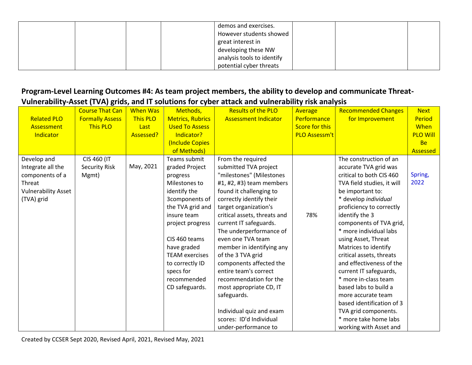|  |  | demos and exercises.       |  |  |
|--|--|----------------------------|--|--|
|  |  | However students showed    |  |  |
|  |  | great interest in          |  |  |
|  |  | developing these NW        |  |  |
|  |  | analysis tools to identify |  |  |
|  |  | potential cyber threats    |  |  |

## **Program-Level Learning Outcomes #4: As team project members, the ability to develop and communicate Threat-Vulnerability-Asset (TVA) grids, and IT solutions for cyber attack and vulnerability risk analysis**

|                            | <b>Course That Can</b> | <b>When Was</b> | Methods,                | <b>Results of the PLO</b>    | Average              | <b>Recommended Changes</b> | <b>Next</b>     |
|----------------------------|------------------------|-----------------|-------------------------|------------------------------|----------------------|----------------------------|-----------------|
| <b>Related PLO</b>         | <b>Formally Assess</b> | This PLO        | <b>Metrics, Rubrics</b> | <b>Assessment Indicator</b>  | Performance          | for Improvement            | Period          |
| Assessment                 | <b>This PLO</b>        | Last            | <b>Used To Assess</b>   |                              | Score for this       |                            | When            |
| Indicator                  |                        | Assessed?       | Indicator?              |                              | <b>PLO Assessm't</b> |                            | <b>PLO Will</b> |
|                            |                        |                 | (Include Copies         |                              |                      |                            | <b>Be</b>       |
|                            |                        |                 | of Methods)             |                              |                      |                            | Assessed        |
| Develop and                | CIS 460 (IT            |                 | Teams submit            | From the required            |                      | The construction of an     |                 |
| Integrate all the          | <b>Security Risk</b>   | May, 2021       | graded Project          | submitted TVA project        |                      | accurate TVA grid was      |                 |
| components of a            | Mgmt)                  |                 | progress                | "milestones" (Milestones     |                      | critical to both CIS 460   | Spring,         |
| Threat                     |                        |                 | Milestones to           | #1, #2, #3) team members     |                      | TVA field studies, it will | 2022            |
| <b>Vulnerability Asset</b> |                        |                 | identify the            | found it challenging to      |                      | be important to:           |                 |
| (TVA) grid                 |                        |                 | 3components of          | correctly identify their     |                      | * develop individual       |                 |
|                            |                        |                 | the TVA grid and        | target organization's        |                      | proficiency to correctly   |                 |
|                            |                        |                 | insure team             | critical assets, threats and | 78%                  | identify the 3             |                 |
|                            |                        |                 | project progress        | current IT safeguards.       |                      | components of TVA grid,    |                 |
|                            |                        |                 |                         | The underperformance of      |                      | * more individual labs     |                 |
|                            |                        |                 | CIS 460 teams           | even one TVA team            |                      | using Asset, Threat        |                 |
|                            |                        |                 | have graded             | member in identifying any    |                      | Matrices to identify       |                 |
|                            |                        |                 | <b>TEAM</b> exercises   | of the 3 TVA grid            |                      | critical assets, threats   |                 |
|                            |                        |                 | to correctly ID         | components affected the      |                      | and effectiveness of the   |                 |
|                            |                        |                 | specs for               | entire team's correct        |                      | current IT safeguards,     |                 |
|                            |                        |                 | recommended             | recommendation for the       |                      | * more in-class team       |                 |
|                            |                        |                 | CD safeguards.          | most appropriate CD, IT      |                      | based labs to build a      |                 |
|                            |                        |                 |                         | safeguards.                  |                      | more accurate team         |                 |
|                            |                        |                 |                         |                              |                      | based identification of 3  |                 |
|                            |                        |                 |                         | Individual quiz and exam     |                      | TVA grid components.       |                 |
|                            |                        |                 |                         | scores: ID'd Individual      |                      | * more take home labs      |                 |
|                            |                        |                 |                         | under-performance to         |                      | working with Asset and     |                 |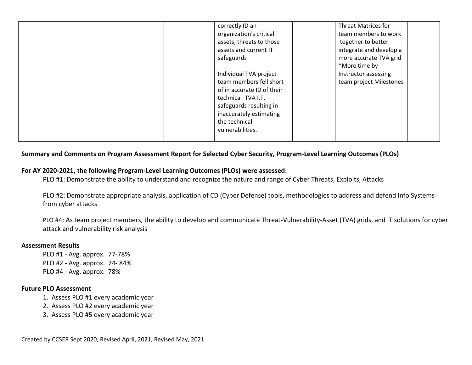| correctly ID an            | <b>Threat Matrices for</b> |
|----------------------------|----------------------------|
| organization's critical    | team members to work       |
| assets, threats to those   | together to better         |
| assets and current IT      | integrate and develop a    |
| safeguards                 | more accurate TVA grid     |
|                            | *More time by              |
| Individual TVA project     | Instructor assessing       |
| team members fell short    | team project Milestones    |
| of in accurate ID of their |                            |
| technical TVA I.T.         |                            |
| safeguards resulting in    |                            |
| inaccurately estimating    |                            |
| the technical              |                            |
| vulnerabilities.           |                            |
|                            |                            |

#### **Summary and Comments on Program Assessment Report for Selected Cyber Security, Program-Level Learning Outcomes (PLOs)**

### **For AY 2020-2021, the following Program-Level Learning Outcomes (PLOs) were assessed:**

PLO #1: Demonstrate the ability to understand and recognize the nature and range of Cyber Threats, Exploits, Attacks

PLO #2: Demonstrate appropriate analysis, application of CD (Cyber Defense) tools, methodologies to address and defend Info Systems from cyber attacks

PLO #4: As team project members, the ability to develop and communicate Threat-Vulnerability-Asset (TVA) grids, and IT solutions for cyber attack and vulnerability risk analysis

#### **Assessment Results**

PLO #1 - Avg. approx. 77-78% PLO #2 - Avg. approx. 74- 84% PLO #4 - Avg. approx. 78%

#### **Future PLO Assessment**

- 1. Assess PLO #1 every academic year
- 2. Assess PLO #2 every academic year
- 3. Assess PLO #5 every academic year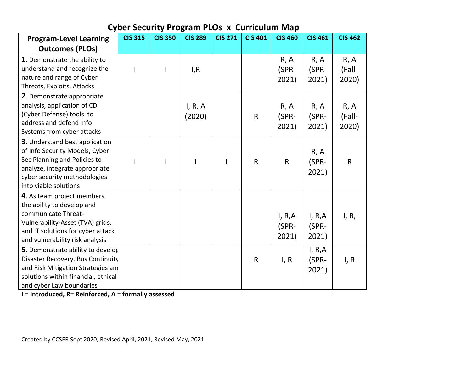| <b>Program-Level Learning</b>                                                                                                                                                                       | <b>CIS 315</b> | <b>CIS 350</b> | <b>CIS 289</b>    | <b>CIS 271</b> | <b>CIS 401</b> | <b>CIS 460</b>            | <b>CIS 461</b>            | <b>CIS 462</b>          |
|-----------------------------------------------------------------------------------------------------------------------------------------------------------------------------------------------------|----------------|----------------|-------------------|----------------|----------------|---------------------------|---------------------------|-------------------------|
| <b>Outcomes (PLOs)</b>                                                                                                                                                                              |                |                |                   |                |                |                           |                           |                         |
| 1. Demonstrate the ability to<br>understand and recognize the<br>nature and range of Cyber<br>Threats, Exploits, Attacks                                                                            |                |                | I, R              |                |                | R, A<br>(SPR-<br>2021)    | R, A<br>(SPR-<br>2021)    | R, A<br>(Fall-<br>2020) |
| 2. Demonstrate appropriate<br>analysis, application of CD<br>(Cyber Defense) tools to<br>address and defend Info<br>Systems from cyber attacks                                                      |                |                | I, R, A<br>(2020) |                | $\mathsf R$    | R, A<br>(SPR-<br>2021)    | R, A<br>(SPR-<br>2021)    | R, A<br>(Fall-<br>2020) |
| <b>3</b> . Understand best application<br>of Info Security Models, Cyber<br>Sec Planning and Policies to<br>analyze, integrate appropriate<br>cyber security methodologies<br>into viable solutions |                |                |                   |                | $\mathsf{R}$   | $\mathsf{R}$              | R, A<br>(SPR-<br>2021)    | $\mathsf{R}$            |
| 4. As team project members,<br>the ability to develop and<br>communicate Threat-<br>Vulnerability-Asset (TVA) grids,<br>and IT solutions for cyber attack<br>and vulnerability risk analysis        |                |                |                   |                |                | I, R, A<br>(SPR-<br>2021) | I, R,A<br>(SPR-<br>2021)  | I, R,                   |
| 5. Demonstrate ability to develop<br>Disaster Recovery, Bus Continuity<br>and Risk Mitigation Strategies and<br>solutions within financial, ethical<br>and cyber Law boundaries                     |                |                |                   |                | $\mathsf R$    | I, R                      | I, R, A<br>(SPR-<br>2021) | I, R                    |

# **Cyber Security Program PLOs x Curriculum Map**

**I = Introduced, R= Reinforced, A = formally assessed**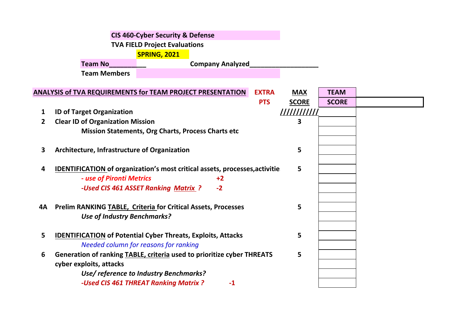|              | <b>CIS 460-Cyber Security &amp; Defense</b>                                       |              |              |  |
|--------------|-----------------------------------------------------------------------------------|--------------|--------------|--|
|              | <b>TVA FIELD Project Evaluations</b>                                              |              |              |  |
|              | <b>SPRING, 2021</b>                                                               |              |              |  |
|              | <b>Team No</b><br><b>Company Analyzed</b>                                         |              |              |  |
|              | <b>Team Members</b>                                                               |              |              |  |
|              |                                                                                   |              |              |  |
|              | <b>ANALYSIS of TVA REQUIREMENTS for TEAM PROJECT PRESENTATION</b><br><b>EXTRA</b> | <b>MAX</b>   | <b>TEAM</b>  |  |
|              | <b>PTS</b>                                                                        | <b>SCORE</b> | <b>SCORE</b> |  |
| 1            | <b>ID of Target Organization</b>                                                  |              |              |  |
| $\mathbf{2}$ | <b>Clear ID of Organization Mission</b>                                           | 3            |              |  |
|              | Mission Statements, Org Charts, Process Charts etc                                |              |              |  |
| 3            | Architecture, Infrastructure of Organization                                      | 5            |              |  |
|              |                                                                                   |              |              |  |
| 4            | IDENTIFICATION of organization's most critical assets, processes, activitie       | 5            |              |  |
|              | - use of Pironti Metrics<br>$+2$                                                  |              |              |  |
|              | -Used CIS 461 ASSET Ranking Matrix ?<br>$-2$                                      |              |              |  |
|              |                                                                                   |              |              |  |
| 4Α           | <b>Prelim RANKING TABLE, Criteria for Critical Assets, Processes</b>              | 5            |              |  |
|              | <b>Use of Industry Benchmarks?</b>                                                |              |              |  |
|              |                                                                                   |              |              |  |
| 5            | <b>IDENTIFICATION of Potential Cyber Threats, Exploits, Attacks</b>               | 5            |              |  |
|              | Needed column for reasons for ranking                                             |              |              |  |
| 6            | Generation of ranking TABLE, criteria used to prioritize cyber THREATS            | 5            |              |  |
|              | cyber exploits, attacks                                                           |              |              |  |
|              | Use/ reference to Industry Benchmarks?                                            |              |              |  |
|              | -Used CIS 461 THREAT Ranking Matrix ?<br>$-1$                                     |              |              |  |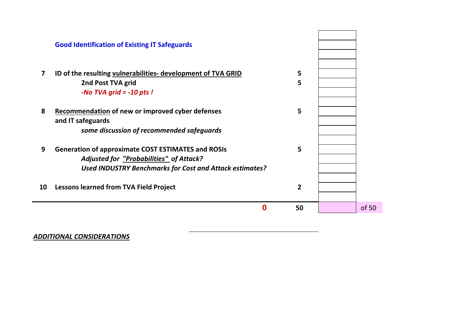|                         | <b>Good Identification of Existing IT Safeguards</b>                                                                                                                   |                |       |
|-------------------------|------------------------------------------------------------------------------------------------------------------------------------------------------------------------|----------------|-------|
| $\overline{\mathbf{z}}$ | ID of the resulting vulnerabilities- development of TVA GRID<br>2nd Post TVA grid<br>-No TVA grid $= -10$ pts!                                                         | 5<br>5         |       |
| 8                       | <b>Recommendation of new or improved cyber defenses</b><br>and IT safeguards<br>some discussion of recommended safeguards                                              | 5              |       |
| 9                       | <b>Generation of approximate COST ESTIMATES and ROSIs</b><br>Adjusted for "Probabilities" of Attack?<br><b>Used INDUSTRY Benchmarks for Cost and Attack estimates?</b> | 5              |       |
| 10                      | <b>Lessons learned from TVA Field Project</b>                                                                                                                          | $\overline{2}$ |       |
|                         | 0                                                                                                                                                                      | 50             | of 50 |

# *ADDITIONAL CONSIDERATIONS*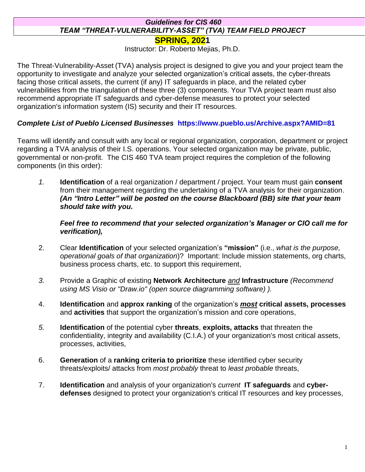## *Guidelines for CIS 460 TEAM "THREAT-VULNERABILITY-ASSET" (TVA) TEAM FIELD PROJECT*

**SPRING, 2021**

Instructor: Dr. Roberto Mejias, Ph.D.

The Threat-Vulnerability-Asset (TVA) analysis project is designed to give you and your project team the opportunity to investigate and analyze your selected organization's critical assets, the cyber-threats facing those critical assets, the current (if any) IT safeguards in place, and the related cyber vulnerabilities from the triangulation of these three (3) components. Your TVA project team must also recommend appropriate IT safeguards and cyber-defense measures to protect your selected organization's information system (IS) security and their IT resources.

### *Complete List of Pueblo Licensed Businesses* **https://www.pueblo.us/Archive.aspx?AMID=81**

Teams will identify and consult with any local or regional organization, corporation, department or project regarding a TVA analysis of their I.S. operations. Your selected organization may be private, public, governmental or non-profit. The CIS 460 TVA team project requires the completion of the following components (in this order):

*1.* **Identification** of a real organization / department / project. Your team must gain **consent** from their management regarding the undertaking of a TVA analysis for their organization. *(An "Intro Letter" will be posted on the course Blackboard (BB) site that your team should take with you.* 

*Feel free to recommend that your selected organization's Manager or CIO call me for verification),* 

- 2. Clear **Identification** of your selected organization's **"mission"** (i.e., *what is the purpose, operational goals of that organization*)? Important: Include mission statements, org charts, business process charts, etc. to support this requirement,
- *3.* Provide a Graphic of existing **Network Architecture** *and* **Infrastructure** *(Recommend using MS Visio or "Draw.io" (open source diagramming software) ).*
- 4. **Identification** and **approx ranking** of the organization's *most* **critical assets, processes** and **activities** that support the organization's mission and core operations,
- *5.* **Identification** of the potential cyber **threats**, **exploits, attacks** that threaten the confidentiality, integrity and availability (C.I.A.) of your organization's most critical assets, processes, activities,
- 6. **Generation** of a **ranking criteria to prioritize** these identified cyber security threats/exploits/ attacks from *most probably* threat to *least probable* threats,
- 7. **Identification** and analysis of your organization's *current* **IT safeguards** and **cyberdefenses** designed to protect your organization's critical IT resources and key processes,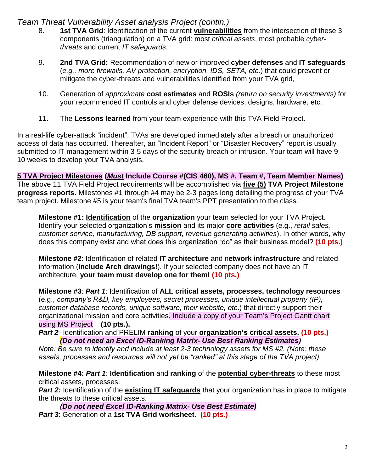## *Team Threat Vulnerability Asset analysis Project (contin.)*

- 8. **1st TVA Grid**: Identification of the current **vulnerabilities** from the intersection of these 3 components (triangulation) on a TVA grid: most *critical assets*, most probable *cyberthreats* and current *IT safeguards*,
- 9. **2nd TVA Grid:** Recommendation of new or improved **cyber defenses** and **IT safeguards** (*e.g., more firewalls, AV protection, encryption, IDS, SETA, etc*.) that could prevent or mitigate the cyber-threats and vulnerabilities identified from your TVA grid,
- 10. Generation of *approximate* **cost estimates** and **ROSIs** *(return on security investments)* for your recommended IT controls and cyber defense devices, designs, hardware, etc.
- 11. The **Lessons learned** from your team experience with this TVA Field Project.

In a real-life cyber-attack "incident", TVAs are developed immediately after a breach or unauthorized access of data has occurred. Thereafter, an "Incident Report" or "Disaster Recovery" report is usually submitted to IT management within 3-5 days of the security breach or intrusion. Your team will have 9- 10 weeks to develop your TVA analysis.

**5 TVA Project Milestones (***Must* **Include Course #(CIS 460), MS #. Team #, Team Member Names)** The above 11 TVA Field Project requirements will be accomplished via **five (5) TVA Project Milestone progress reports.** Milestones #1 through #4 may be 2-3 pages long detailing the progress of your TVA team project. Milestone #5 is your team's final TVA team's PPT presentation to the class.

**Milestone #1: Identification** of the **organization** your team selected for your TVA Project. Identify your selected organization's **mission** and its major **core activities** (e.g., *retail sales, customer service, manufacturing, DB support, revenue generating activities*). In other words, why does this company exist and what does this organization "do" as their business model? **(10 pts.)**

**Milestone #2**: Identification of related **IT architecture** and n**etwork infrastructure** and related information (**include Arch drawings!**). If your selected company does not have an IT architecture, **your team must develop one for them! (10 pts.)**

**Milestone #3**: *Part 1*: Identification of **ALL critical assets, processes, technology resources** (e.g., *company's R&D, key employees, secret processes, unique intellectual property (IP), customer database records, unique software, their website, etc*.) that directly support their organizational mission and core activities. Include a copy of your Team's Project Gantt chart using MS Project **(10 pts.).**

*Part 2*- Identification and PRELIM **ranking** of your **organization's critical assets. (10 pts.)** *(Do not need an Excel ID-Ranking Matrix- Use Best Ranking Estimates)*

*Note: Be sure to identify and include at least 2-3 technology assets for MS #2. (Note: these assets, processes and resources will not yet be "ranked" at this stage of the TVA project).*

**Milestone #4:** *Part 1*: **Identification** and **ranking** of the **potential cyber-threats** to these most critical assets, processes.

**Part 2:** Identification of the **existing IT safeguards** that your organization has in place to mitigate the threats to these critical assets.

*(Do not need Excel ID-Ranking Matrix- Use Best Estimate) Part 3*: Generation of a **1st TVA Grid worksheet. (10 pts.)**